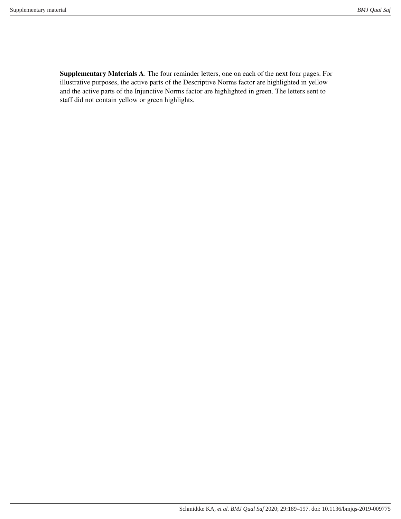**Supplementary Materials A**. The four reminder letters, one on each of the next four pages. For illustrative purposes, the active parts of the Descriptive Norms factor are highlighted in yellow and the active parts of the Injunctive Norms factor are highlighted in green. The letters sent to staff did not contain yellow or green highlights.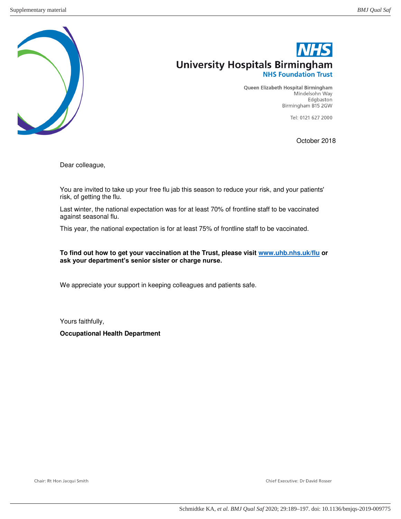

Queen Elizabeth Hospital Birmingham Mindelsohn Way Edgbaston Birmingham B15 2GW

Tel: 0121 627 2000

October 2018

Dear colleague,

You are invited to take up your free flu jab this season to reduce your risk, and your patients' risk, of getting the flu.

Last winter, the national expectation was for at least 70% of frontline staff to be vaccinated against seasonal flu.

This year, the national expectation is for at least 75% of frontline staff to be vaccinated.

**To find out how to get your vaccination at the Trust, please visit [www.uhb.nhs.uk/flu](http://www.uhb.nhs.uk/flu) or ask your department's senior sister or charge nurse.**

We appreciate your support in keeping colleagues and patients safe.

Yours faithfully,

**Occupational Health Department** 

Chief Executive: Dr David Rosser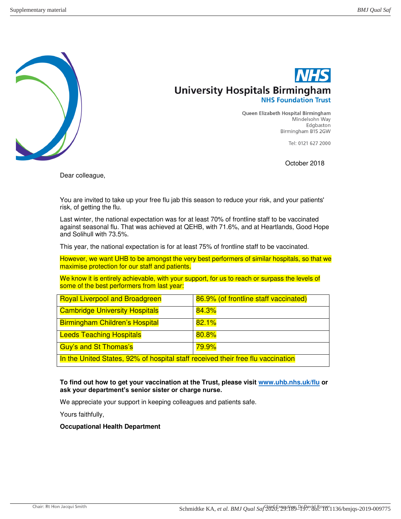

**Oueen Elizabeth Hospital Birmingham** Mindelsohn Way Edgbaston Birmingham B15 2GW

Tel: 0121 627 2000

October 2018

Dear colleague,

You are invited to take up your free flu jab this season to reduce your risk, and your patients' risk, of getting the flu.

Last winter, the national expectation was for at least 70% of frontline staff to be vaccinated against seasonal flu. That was achieved at QEHB, with 71.6%, and at Heartlands, Good Hope and Solihull with 73.5%.

This year, the national expectation is for at least 75% of frontline staff to be vaccinated.

However, we want UHB to be amongst the very best performers of similar hospitals, so that we maximise protection for our staff and patients.

We know it is entirely achievable, with your support, for us to reach or surpass the levels of some of the best performers from last year:

| <b>Royal Liverpool and Broadgreen</b>                                           | 86.9% (of frontline staff vaccinated) |
|---------------------------------------------------------------------------------|---------------------------------------|
| <b>Cambridge University Hospitals</b>                                           | 84.3%                                 |
| <b>Birmingham Children's Hospital</b>                                           | 82.1%                                 |
| <b>Leeds Teaching Hospitals</b>                                                 | 80.8%                                 |
| Guy's and St Thomas's                                                           | <mark>79.9%</mark>                    |
| In the United States, 92% of hospital staff received their free flu vaccination |                                       |

#### **To find out how to get your vaccination at the Trust, please visit [www.uhb.nhs.uk/flu](http://www.uhb.nhs.uk/flu) or ask your department's senior sister or charge nurse.**

We appreciate your support in keeping colleagues and patients safe.

Yours faithfully,

#### **Occupational Health Department**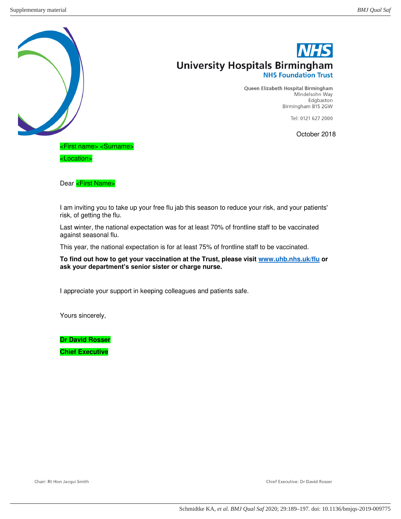

Queen Elizabeth Hospital Birmingham Mindelsohn Way Edgbaston Birmingham B15 2GW

Tel: 0121 627 2000

October 2018

<First name> <Surname>

Dear <First Name>

I am inviting you to take up your free flu jab this season to reduce your risk, and your patients' risk, of getting the flu.

Last winter, the national expectation was for at least 70% of frontline staff to be vaccinated against seasonal flu.

This year, the national expectation is for at least 75% of frontline staff to be vaccinated.

**To find out how to get your vaccination at the Trust, please visit [www.uhb.nhs.uk/flu](http://www.uhb.nhs.uk/flu) or ask your department's senior sister or charge nurse.**

I appreciate your support in keeping colleagues and patients safe.

Yours sincerely,

**Dr David Rosser** 

**Chief Executive** 

Chief Executive: Dr David Rosser